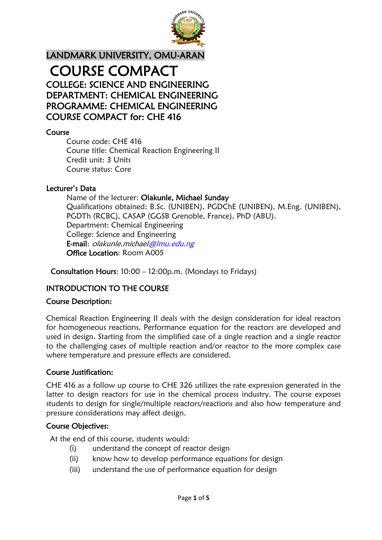

# LANDMARK UNIVERSITY, OMU-ARAN COURSE COMPACT COLLEGE: SCIENCE AND ENGINEERING DEPARTMENT: CHEMICAL ENGINEERING PROGRAMME: CHEMICAL ENGINEERING COURSE COMPACT for: CHE 416

#### Course

Course code: CHE 416 Course title: Chemical Reaction Engineering II Credit unit: 3 Units Course status: Core

#### Lecturer's Data

Name of the lecturer: Olakunle, Michael Sunday Qualifications obtained: B.Sc. (UNIBEN), PGDChE (UNIBEN), M.Eng. (UNIBEN), PGDTh (RCBC), CASAP (GGSB Grenoble, France), PhD (ABU). Department: Chemical Engineering College: Science and Engineering E-mail: olakunle.michael@lmu.edu.ng Office Location: Room A005

Consultation Hours: 10:00 – 12:00p.m. (Mondays to Fridays)

# INTRODUCTION TO THE COURSE

#### Course Description:

Chemical Reaction Engineering II deals with the design consideration for ideal reactors for homogeneous reactions. Performance equation for the reactors are developed and used in design. Starting from the simplified case of a single reaction and a single reactor to the challenging cases of multiple reaction and/or reactor to the more complex case where temperature and pressure effects are considered.

#### Course Justification:

CHE 416 as a follow up course to CHE 326 utilizes the rate expression generated in the latter to design reactors for use in the chemical process industry. The course exposes students to design for single/multiple reactors/reactions and also how temperature and pressure considerations may affect design.

#### Course Objectives:

At the end of this course, students would:

- (i) understand the concept of reactor design
- (ii) know how to develop performance equations for design
- (iii) understand the use of performance equation for design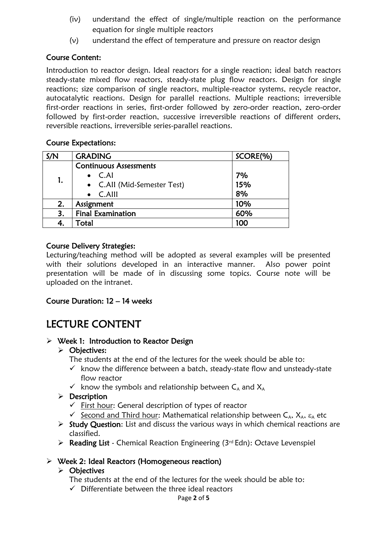- (iv) understand the effect of single/multiple reaction on the performance equation for single multiple reactors
- (v) understand the effect of temperature and pressure on reactor design

## Course Content:

Introduction to reactor design. Ideal reactors for a single reaction; ideal batch reactors steady-state mixed flow reactors, steady-state plug flow reactors. Design for single reactions; size comparison of single reactors, multiple-reactor systems, recycle reactor, autocatalytic reactions. Design for parallel reactions. Multiple reactions; irreversible first-order reactions in series, first-order followed by zero-order reaction, zero-order followed by first-order reaction, successive irreversible reactions of different orders, reversible reactions, irreversible series-parallel reactions.

#### Course Expectations:

| S/N | <b>GRADING</b>                | SCORE(%) |  |
|-----|-------------------------------|----------|--|
| 1.  | <b>Continuous Assessments</b> |          |  |
|     | $\bullet$ C.AI                | 7%       |  |
|     | • C.All (Mid-Semester Test)   | 15%      |  |
|     | $\bullet$ C.Alll              | 8%       |  |
| 2.  | Assignment                    | 10%      |  |
| 3.  | <b>Final Examination</b>      | 60%      |  |
|     | Total                         | 100      |  |

#### Course Delivery Strategies:

Lecturing/teaching method will be adopted as several examples will be presented with their solutions developed in an interactive manner. Also power point presentation will be made of in discussing some topics. Course note will be uploaded on the intranet.

#### Course Duration: 12 – 14 weeks

# LECTURE CONTENT

#### $\triangleright$  Week 1: Introduction to Reactor Design

#### > Objectives:

The students at the end of the lectures for the week should be able to:

- $\checkmark$  know the difference between a batch, steady-state flow and unsteady-state flow reactor
- $\checkmark$  know the symbols and relationship between  $C_A$  and  $X_A$

 $\triangleright$  Description

- $\checkmark$  First hour: General description of types of reactor
- $\checkmark$  Second and Third hour: Mathematical relationship between  $C_A$ ,  $X_A$ ,  $\varepsilon_A$  etc
- $\triangleright$  Study Question: List and discuss the various ways in which chemical reactions are classified.
- $\triangleright$  Reading List Chemical Reaction Engineering (3rd Edn): Octave Levenspiel

# $\triangleright$  Week 2: Ideal Reactors (Homogeneous reaction)

- $\triangleright$  Objectives
	- The students at the end of the lectures for the week should be able to:
	- $\checkmark$  Differentiate between the three ideal reactors

Page **2** of **5**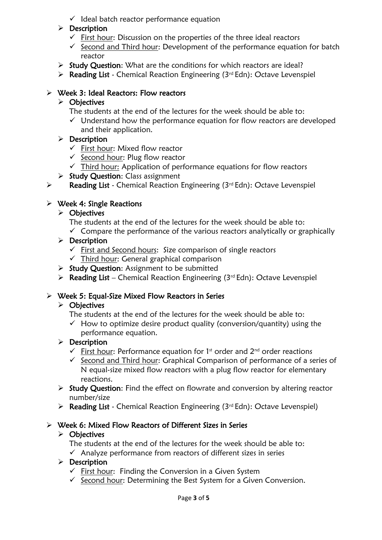$\checkmark$  Ideal batch reactor performance equation

# $\triangleright$  Description

- $\checkmark$  First hour: Discussion on the properties of the three ideal reactors
- $\checkmark$  Second and Third hour: Development of the performance equation for batch reactor
- $\triangleright$  Study Question: What are the conditions for which reactors are ideal?
- $\triangleright$  Reading List Chemical Reaction Engineering (3rd Edn): Octave Levenspiel

## Week 3: Ideal Reactors: Flow reactors

## $\triangleright$  Objectives

- The students at the end of the lectures for the week should be able to:
- $\checkmark$  Understand how the performance equation for flow reactors are developed and their application.

# $\triangleright$  Description

- $\checkmark$  First hour: Mixed flow reactor
- $\checkmark$  Second hour: Plug flow reactor
- $\checkmark$  Third hour: Application of performance equations for flow reactors
- $\triangleright$  Study Question: Class assignment
- $\triangleright$  Reading List Chemical Reaction Engineering (3rd Edn): Octave Levenspiel

# $\triangleright$  Week 4: Single Reactions

#### $\triangleright$  Objectives

- The students at the end of the lectures for the week should be able to:
- $\checkmark$  Compare the performance of the various reactors analytically or graphically

#### $\triangleright$  Description

- $\checkmark$  First and Second hours: Size comparison of single reactors
- $\checkmark$  Third hour: General graphical comparison
- $\triangleright$  Study Question: Assignment to be submitted
- $\triangleright$  Reading List Chemical Reaction Engineering (3rd Edn): Octave Levenspiel

# $\triangleright$  Week 5: Equal-Size Mixed Flow Reactors in Series

# $\triangleright$  Objectives

- The students at the end of the lectures for the week should be able to:
- $\checkmark$  How to optimize desire product quality (conversion/quantity) using the performance equation.

# $\triangleright$  Description

- $\checkmark$  First hour: Performance equation for 1<sup>st</sup> order and 2<sup>nd</sup> order reactions
- $\checkmark$  Second and Third hour: Graphical Comparison of performance of a series of N equal-size mixed flow reactors with a plug flow reactor for elementary reactions.
- $\triangleright$  Study Question: Find the effect on flowrate and conversion by altering reactor number/size
- $\triangleright$  Reading List Chemical Reaction Engineering (3rd Edn): Octave Levenspiel)

# Week 6: Mixed Flow Reactors of Different Sizes in Series

# $\triangleright$  Objectives

- The students at the end of the lectures for the week should be able to:
- $\checkmark$  Analyze performance from reactors of different sizes in series

# $\triangleright$  Description

- $\checkmark$  First hour: Finding the Conversion in a Given System
- $\checkmark$  Second hour: Determining the Best System for a Given Conversion.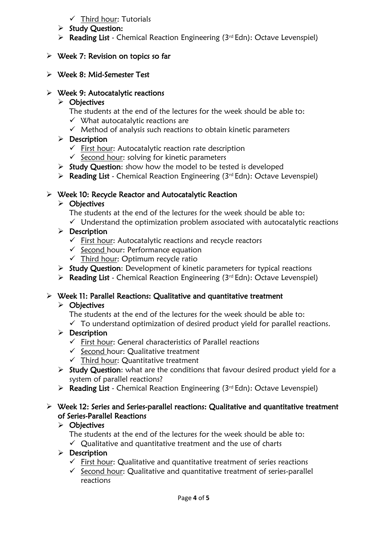# $\checkmark$  Third hour: Tutorials

- $\triangleright$  Study Question:
- ▶ Reading List Chemical Reaction Engineering (3rd Edn): Octave Levenspiel)

#### $\triangleright$  Week 7: Revision on topics so far

Week 8: Mid-Semester Test

#### $\triangleright$  Week 9: Autocatalytic reactions

#### $\triangleright$  Objectives

- The students at the end of the lectures for the week should be able to:  $\checkmark$  What autocatalytic reactions are
- $\checkmark$  Method of analysis such reactions to obtain kinetic parameters

# $\triangleright$  Description

- $\checkmark$  First hour: Autocatalytic reaction rate description
- $\checkmark$  Second hour: solving for kinetic parameters
- $\triangleright$  Study Question: show how the model to be tested is developed
- $\triangleright$  Reading List Chemical Reaction Engineering (3rd Edn): Octave Levenspiel)

#### $\triangleright$  Week 10: Recycle Reactor and Autocatalytic Reaction

# $\triangleright$  Objectives

- The students at the end of the lectures for the week should be able to:
- $\checkmark$  Understand the optimization problem associated with autocatalytic reactions

# $\triangleright$  Description

- $\checkmark$  First hour: Autocatalytic reactions and recycle reactors
- $\checkmark$  Second hour: Performance equation
- $\checkmark$  Third hour: Optimum recycle ratio
- $\triangleright$  Study Question: Development of kinetic parameters for typical reactions
- $\triangleright$  Reading List Chemical Reaction Engineering (3rd Edn): Octave Levenspiel)

# $\triangleright$  Week 11: Parallel Reactions: Qualitative and quantitative treatment

# $\triangleright$  Objectives

- The students at the end of the lectures for the week should be able to:
- $\checkmark$  To understand optimization of desired product yield for parallel reactions.

# $\triangleright$  Description

- $\checkmark$  First hour: General characteristics of Parallel reactions
- $\checkmark$  Second hour: Qualitative treatment
- $\checkmark$  Third hour: Quantitative treatment
- $\triangleright$  Study Question: what are the conditions that favour desired product yield for a system of parallel reactions?
- $\triangleright$  Reading List Chemical Reaction Engineering (3rd Edn): Octave Levenspiel)

#### Week 12: Series and Series-parallel reactions: Qualitative and quantitative treatment of Series-Parallel Reactions

# $\triangleright$  Objectives

- The students at the end of the lectures for the week should be able to:
- $\checkmark$  Qualitative and quantitative treatment and the use of charts
- $\triangleright$  Description
	- $\checkmark$  First hour: Qualitative and quantitative treatment of series reactions
	- $\checkmark$  Second hour: Qualitative and quantitative treatment of series-parallel reactions